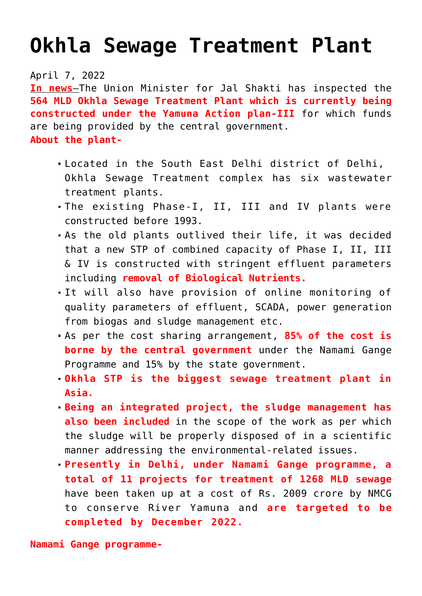## **[Okhla Sewage Treatment Plant](https://journalsofindia.com/okhla-sewage-treatment-plant/)**

## April 7, 2022

**In news**–The Union Minister for Jal Shakti has inspected the **564 MLD Okhla Sewage Treatment Plant which is currently being constructed under the Yamuna Action plan-III** for which funds are being provided by the central government. **About the plant-**

- Located in the South East Delhi district of Delhi, Okhla Sewage Treatment complex has six wastewater treatment plants.
- The existing Phase-I, II, III and IV plants were constructed before 1993.
- As the old plants outlived their life, it was decided that a new STP of combined capacity of Phase I, II, III & IV is constructed with stringent effluent parameters including **removal of Biological Nutrients.**
- It will also have provision of online monitoring of quality parameters of effluent, SCADA, power generation from biogas and sludge management etc.
- As per the cost sharing arrangement, **85% of the cost is borne by the central government** under the Namami Gange Programme and 15% by the state government.
- **Okhla STP is the biggest sewage treatment plant in Asia.**
- **Being an integrated project, the sludge management has also been included** in the scope of the work as per which the sludge will be properly disposed of in a scientific manner addressing the environmental-related issues.
- **Presently in Delhi, under Namami Gange programme, a total of 11 projects for treatment of 1268 MLD sewage** have been taken up at a cost of Rs. 2009 crore by NMCG to conserve River Yamuna and **are targeted to be completed by December 2022.**

**Namami Gange programme-**